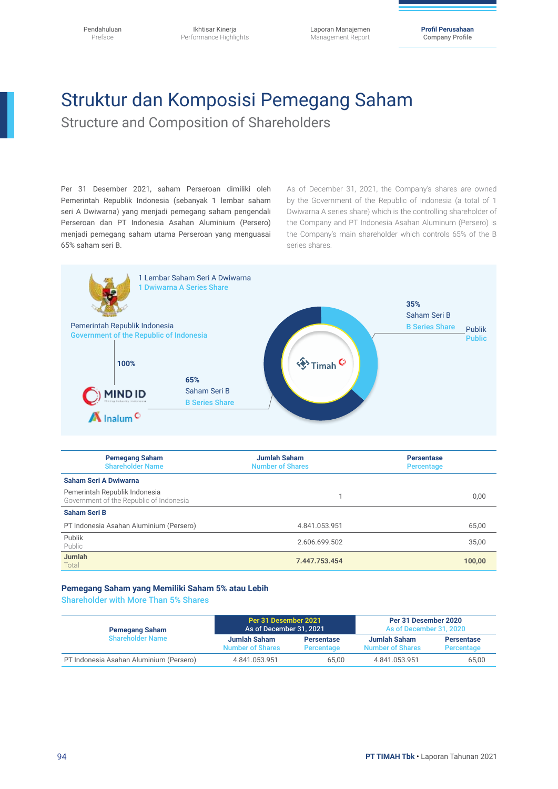Laporan Manajemen Management Report

**Profil Perusahaan** Company Profile

# Struktur dan Komposisi Pemegang Saham

Structure and Composition of Shareholders

Per 31 Desember 2021, saham Perseroan dimiliki oleh Pemerintah Republik Indonesia (sebanyak 1 lembar saham seri A Dwiwarna) yang menjadi pemegang saham pengendali Perseroan dan PT Indonesia Asahan Aluminium (Persero) menjadi pemegang saham utama Perseroan yang menguasai 65% saham seri B.

As of December 31, 2021, the Company's shares are owned by the Government of the Republic of Indonesia (a total of 1 Dwiwarna A series share) which is the controlling shareholder of the Company and PT Indonesia Asahan Aluminum (Persero) is the Company's main shareholder which controls 65% of the B series shares.



| <b>Pemegang Saham</b><br><b>Shareholder Name</b>                         | <b>Jumlah Saham</b><br><b>Number of Shares</b> | <b>Persentase</b><br>Percentage |
|--------------------------------------------------------------------------|------------------------------------------------|---------------------------------|
| Saham Seri A Dwiwarna                                                    |                                                |                                 |
| Pemerintah Republik Indonesia<br>Government of the Republic of Indonesia |                                                | 0,00                            |
| <b>Saham Seri B</b>                                                      |                                                |                                 |
| PT Indonesia Asahan Aluminium (Persero)                                  | 4.841.053.951                                  | 65,00                           |
| Publik<br>Public                                                         | 2.606.699.502                                  | 35,00                           |
| <b>Jumlah</b><br>Total                                                   | 7.447.753.454<br>100,00                        |                                 |

#### **Pemegang Saham yang Memiliki Saham 5% atau Lebih**

Shareholder with More Than 5% Shares

| <b>Pemegang Saham</b>                   | Per 31 Desember 2021<br>As of December 31, 2021 |                                 | Per 31 Desember 2020<br>As of December 31, 2020 |                                 |
|-----------------------------------------|-------------------------------------------------|---------------------------------|-------------------------------------------------|---------------------------------|
| <b>Shareholder Name</b>                 | Jumlah Saham<br><b>Number of Shares</b>         | <b>Persentase</b><br>Percentage | Jumlah Saham<br><b>Number of Shares</b>         | <b>Persentase</b><br>Percentage |
| PT Indonesia Asahan Aluminium (Persero) | 4.841.053.951                                   | 65.00                           | 4.841.053.951                                   | 65,00                           |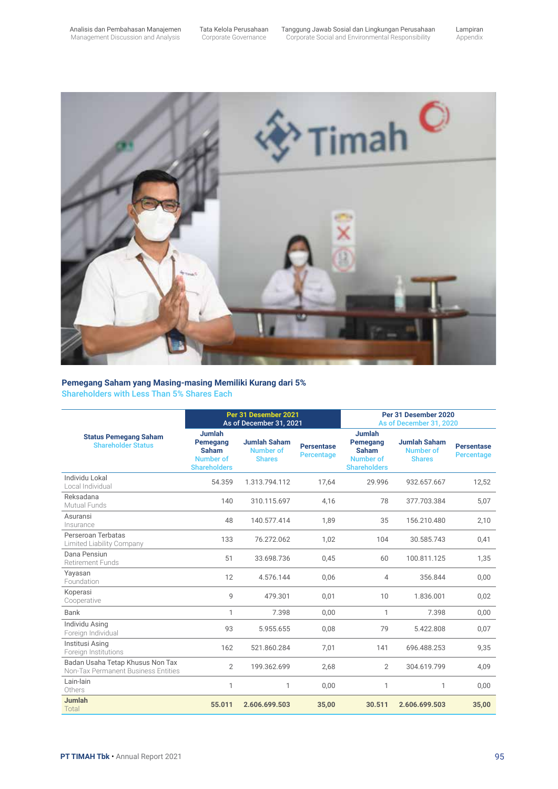Lampiran Appendix



#### **Pemegang Saham yang Masing-masing Memiliki Kurang dari 5%**  Shareholders with Less Than 5% Shares Each

|                                                                         | Per 31 Desember 2021<br>As of December 31, 2021                                      |                                                          |                                 | Per 31 Desember 2020<br>As of December 31, 2020                                      |                                                          |                                 |
|-------------------------------------------------------------------------|--------------------------------------------------------------------------------------|----------------------------------------------------------|---------------------------------|--------------------------------------------------------------------------------------|----------------------------------------------------------|---------------------------------|
| <b>Status Pemegang Saham</b><br><b>Shareholder Status</b>               | <b>Jumlah</b><br>Pemegang<br><b>Saham</b><br><b>Number of</b><br><b>Shareholders</b> | <b>Jumlah Saham</b><br><b>Number of</b><br><b>Shares</b> | <b>Persentase</b><br>Percentage | <b>Jumlah</b><br>Pemegang<br><b>Saham</b><br><b>Number of</b><br><b>Shareholders</b> | <b>Jumlah Saham</b><br><b>Number of</b><br><b>Shares</b> | <b>Persentase</b><br>Percentage |
| Individu Lokal<br>Local Individual                                      | 54.359                                                                               | 1.313.794.112                                            | 17,64                           | 29.996                                                                               | 932.657.667                                              | 12,52                           |
| Reksadana<br>Mutual Funds                                               | 140                                                                                  | 310.115.697                                              | 4.16                            | 78                                                                                   | 377.703.384                                              | 5,07                            |
| Asuransi<br>Insurance                                                   | 48                                                                                   | 140.577.414                                              | 1,89                            | 35                                                                                   | 156.210.480                                              | 2,10                            |
| Perseroan Terbatas<br>Limited Liability Company                         | 133                                                                                  | 76.272.062                                               | 1,02                            | 104                                                                                  | 30.585.743                                               | 0,41                            |
| Dana Pensiun<br><b>Retirement Funds</b>                                 | 51                                                                                   | 33.698.736                                               | 0,45                            | 60                                                                                   | 100.811.125                                              | 1,35                            |
| Yayasan<br>Foundation                                                   | 12                                                                                   | 4.576.144                                                | 0,06                            | 4                                                                                    | 356.844                                                  | 0,00                            |
| Koperasi<br>Cooperative                                                 | 9                                                                                    | 479.301                                                  | 0,01                            | 10                                                                                   | 1.836.001                                                | 0,02                            |
| Bank                                                                    | 1                                                                                    | 7.398                                                    | 0.00                            | $\mathbf{1}$                                                                         | 7.398                                                    | 0,00                            |
| Individu Asing<br>Foreign Individual                                    | 93                                                                                   | 5.955.655                                                | 0.08                            | 79                                                                                   | 5.422.808                                                | 0,07                            |
| Institusi Asing<br>Foreign Institutions                                 | 162                                                                                  | 521.860.284                                              | 7,01                            | 141                                                                                  | 696.488.253                                              | 9,35                            |
| Badan Usaha Tetap Khusus Non Tax<br>Non-Tax Permanent Business Entities | 2                                                                                    | 199.362.699                                              | 2,68                            | $\overline{2}$                                                                       | 304.619.799                                              | 4,09                            |
| Lain-lain<br>Others                                                     | 1                                                                                    | 1                                                        | 0.00                            | $\mathbf{1}$                                                                         | 1                                                        | 0,00                            |
| Jumlah<br>Total                                                         | 55.011                                                                               | 2.606.699.503                                            | 35,00                           | 30.511                                                                               | 2.606.699.503                                            | 35,00                           |